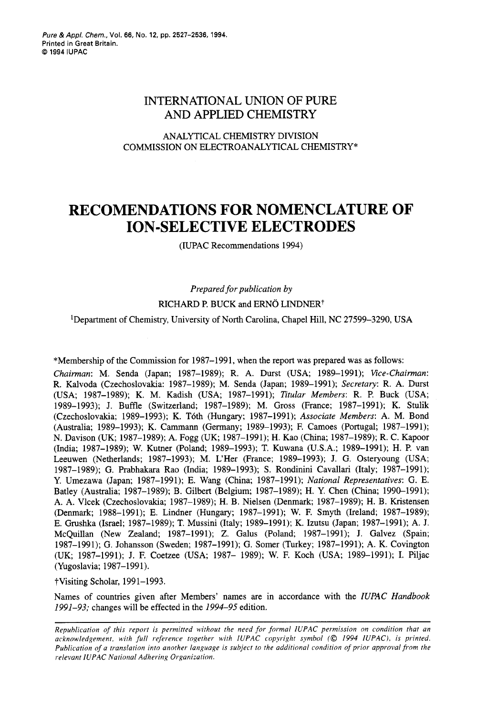# INTERNATIONAL UNION OF PURE AND APPLIED CHEMISTRY

ANALYTICAL CHEMISTRY DIVISION COMMISSION ON ELECTROANALYTICAL CHEMISTRY\*

# **RECOMENDATIONS FOR NOMENCLATURE OF ION-SELECTIVE ELECTRODES**

(IUPAC Recommendations 1994)

# *Prepared for publication by*  RICHARD P. BUCK and ERNÖ LINDNER<sup>†</sup>

'Department of Chemistry, University of North Carolina, Chapel Hill, NC 27599-3290, USA

\*Membership of the Commission for 1987-1991, when the report was prepared was as follows:

*Chairman:* M. Senda (Japan; 1987-1989); R. A. Durst (USA; 1989-1991); *Vice-Chairman:*  R. Kalvoda (Czechoslovakia: 1987-1989); M. Senda (Japan; 1989-1991); *Secretary:* R. A. Durst (USA; 1987-1989); K. M. Kadish (USA; 1987-1991); *Titular Members:* R. P. Buck (USA; 1989-1993); J. Buffle (Switzerland; 1987-1989); M. Gross (France; 1987-1991); K. Stulik (Czechoslovakia; 1989-1993); K. T6th (Hungary; 1987-1991); *Associate Members:* A. M. Bond (Australia; 1989-1993); K. Cammann (Germany; 1989-1993); F. Camoes (Portugal; 1987-1991); N. Davison (UK; 1987-1989); A. Fogg (UK; 1987-1991); H. Kao (China; 1987-1989); R. C. Kapoor (India; 1987-1989); W. Kutner (Poland; 1989-1993); T. Kuwana (U.S.A.; 1989-1991); H. P. van Leeuwen (Netherlands; 1987-1993); M. L'Her (France; 1989-1993); J. G. Osteryoung (USA; 1987-1989); G. Prabhakara Rao (India; 1989-1993); S. Rondinini Cavallari (Italy; 1987-1991); Y. Umezawa (Japan; 1987-1991); E. Wang (China; 1987-1991); *National Representatives:* G. E. Batley (Australia; 1987-1989); B. Gilbert (Belgium; 1987-1989); H. Y. Chen (China; 1990-1991); A. A. Vlcek (Czechoslovakia; 1987-1989); H. B. Nielsen (Denmark; 1987-1989); H. B. Kristensen (Denmark; 1988-1991); E. Lindner (Hungary; 1987-1991); W. F. Smyth (Ireland; 1987-1989); E. Grushka (Israel; 1987-1989); T. Mussini (Italy; 1989-1991); K. Izutsu (Japan; 1987-1991); A. J. McQuillan (New Zealand; 1987-1991); Z. Galus (Poland; 1987-1991); J. Galvez (Spain; 1987-1991); G. Johansson (Sweden; 1987-1991); G. Somer (Turkey; 1987-1991); A. K. Covington (UK; 1987-1991); J. F. Coetzee (USA; 1987- 1989); W. F. Koch (USA; 1989-1991); I. Piljac (Yugoslavia; 1987-1991).

?Visiting Scholar, 1991-1993.

Names of countries given after Members' names are in accordance with the *IUPAC Handbook*  1991-93; changes will be effected in the 1994-95 edition.

*Republication of this report is permitted without the need for formal IUPAC permission on condition that an acknowledgement, with full reference together with IUPAC copyright symbol (0 1994 IUPAC), is printed. Publication of a translation into another language is subject to the additional condition of prior approval from the relevant IUPAC National Adhering Organization.*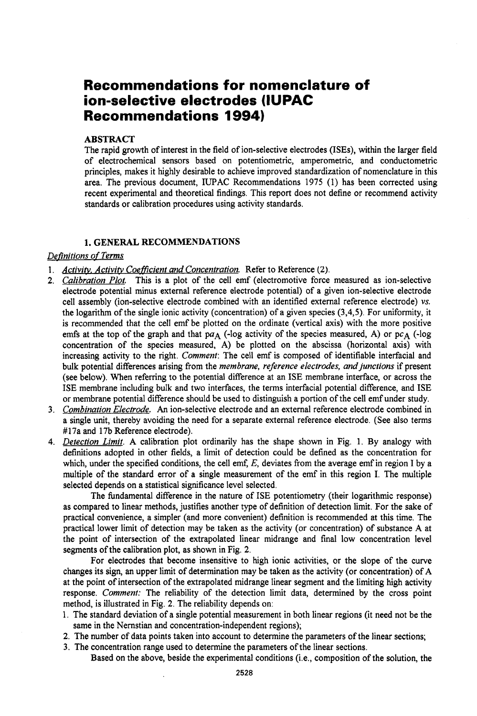# **Recommendations for nomenclature of ion-selective electrodes (IUPAC Recommendations 1994)**

#### **ABSTRACT**

The rapid growth of interest in the field of ion-selective electrodes (ISEs), within the larger field of electrochemical sensors based on potentiometric, amperometric, and conductometric principles, makes it highly desirable to achieve improved standardization of nomenclature in this area. The previous document, **WAC** Recommendations 1975 (1) has been corrected using recent experimental and theoretical findings. This report does not define or recommend activity standards or calibration procedures using activity standards.

## **1. GENERAL RECOMMENDATIONS**

#### *Definitions of Terms*

- 1. *Activitv, Activitv Coefficient and Concentration.* Refer to Keference *(2).*
- **2.** *Calibration Plot.* This is a plot of the cell emf (electromotive force measured as ion-selective electrode potential minus external reference electrode potential) of a given ion-selective electrode cell assembly (ion-selective electrode combined with an identified external reference electrode) *vs.*  the logarithm of the single ionic activity (concentration) of a given species **(3,4,5).** For uniformity, it is recommended that the cell emf be plotted on the ordinate (vertical axis) with the more positive emfs at the top of the graph and that  $p a_A$  (-log activity of the species measured, A) or  $p c_A$  (-log concentration of the species measured, **A)** be plotted on the abscissa (horizontal axis) with increasing activity to the right. *Comment:* The cell emf is composed of identifiable interfacial and bulk potential differences arising from the *membrane, reference electrodes, and junctions* if present (see below). When referring to the potential difference at an ISE membrane interface, or across the ISE membrane including bulk and two interfaces, the terms interfacial potential difference, and ISE or membrane potential difference should be used to distinguish a portion of the cell emf under study.
- *3. Combination Electrode. An* ion-selective electrode and an external reference electrode combined in a single unit, thereby avoiding the need for a separate external reference electrode. (See also terms #17a and 17b Reference electrode).
- **4.** *Detection Limit.* **A** calibration plot ordinarily has the shape shown in Fig. 1. By analogy with definitions adopted in other fields, a limit of detection could be defined as the concentration for which, under the specified conditions, the cell emf, *E*, deviates from the average emf in region I by a multiple of the standard error of a single measurement of the emf in this region I. The multiple selected depends on a statistical significance level selected.

The fundamental difference in the nature of ISE potentiometry (their logarithmic response) as compared to linear methods, justifies another type of definition of detection limit. For the sake of practical convenience, a simpler (and more convenient) definition is recommended at this time. The practical lower limit of detection may be taken as the activity (or concentration) of substance **A** at the point of intersection of the extrapolated linear midrange and final low concentration level segments of the calibration plot, as shown in Fig. **2.** 

For electrodes that become insensitive to high ionic activities, or the slope of the curve changes its sign, an upper limit of determination may be taken as the activity (or concentration) of **A**  at the point of intersection of the extrapolated midrange linear segment and the limiting high activity response. *Comment:* The reliability of the detection limit data, determined by the cross point method, is illustrated in Fig. **2.** The reliability depends on:

- 1. The standard deviation of a single potential measurement in both linear regions (it need not be the same in the Nernstian and concentration-independent regions);
- **2.** The number of data points taken into account to determine the parameters of the linear sections;
- **3.** The concentration range used to determine the parameters of the linear sections.
	- Based on the above, beside the experimental conditions (i.e., composition of the solution, the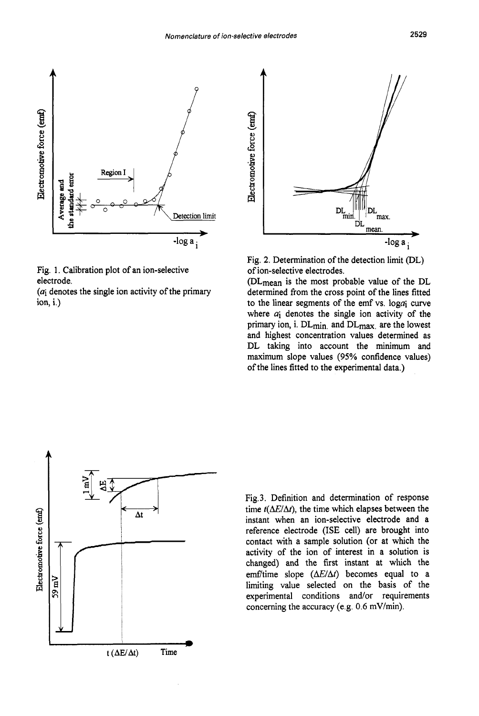



 $(a<sub>i</sub>$  denotes the single ion activity of the primary ion, **i.)** 



Fig. **2.** Determination of the detection limit (DL) of ion-selective electrodes.

(DLmean is the most probable value of the DL determined from the cross point of the lines fitted to the linear segments of the emf vs. logai curve where  $a_i$  denotes the single ion activity of the primary ion, i. DLmin. and DLmax. are the lowest and highest concentration values determined as DL taking into account the minimum and maximum slope values (95% confidence values) of the lines fitted to the experimental data.)



Fig.3. Definition and determination of response time  $t(\Delta E/\Delta t)$ , the time which elapses between the instant when an ion-selective electrode and a reference electrode **(ISE** cell) are brought into contact with a sample solution (or at which the activity of the ion of interest in a solution is changed) and the first instant at wluch the emf/time slope  $(\Delta E/\Delta t)$  becomes equal to a limiting value selected on the basis of the experimental conditions and/or requirements concerning the accuracy (e.g. 0.6 mV/min).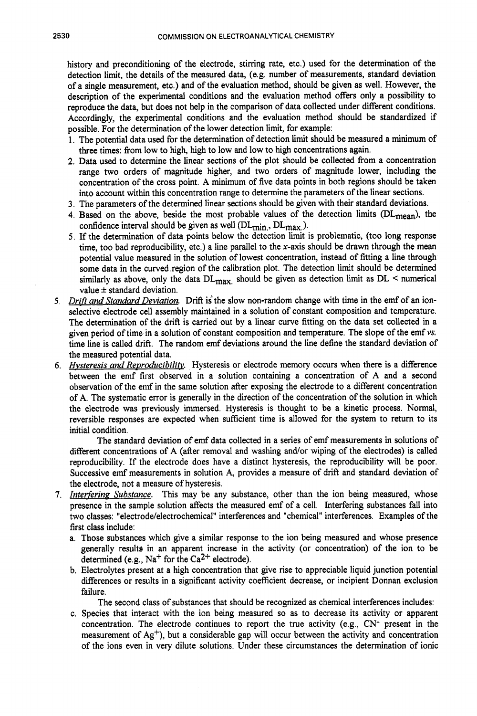history and preconditioning of the electrode, stirring rate, etc.) used for the determination of the detection limit, the details of the measured data, (e.g. number of measurements, standard deviation of a single measurement, etc.) and of the evaluation method, should be given as well. However, the description of the experimental conditions and the evaluation method offers only a possibility to reproduce the data, but does not help in the comparison of data collected under different conditions. Accordingly, the experimental conditions and the evaluation method should be standardized if possible. For the determination of the lower detection limit, for example:

- 1, The potential data used for the determination of detection limit should be measured a minimum of three times: from low to high, high to low and low to high concentrations again.
- 2. Data used to determine the linear sections of the plot should be collected from a concentration range two orders of magnitude higher, and two orders of magnitude lower, including the concentration of the cross point. A minimum of five data points in both regions should be taken into account within this concentration range to determine the parameters of the linear sections.
- **3.** The parameters of the determined linear sections should be given with their standard deviations.
- **4.** Based on the above, beside the most probable values of the detection limits (DLmean), the confidence interval should be given as well  $(DL_{min}, DL_{max})$ .
- **5.** If the determination of data points below the detection limit is problematic, (too long response time, too bad reproducibility, etc.) a line parallel to the x-axis should be drawn through the mean potential value measured in the solution of lowest concentration, instead of fitting a line through some data in the curved region of the calibration plot. 'The detection limit should be determined similarly as above, only the data  $DL_{max}$  should be given as detection limit as  $DL \leq$  numerical value  $\pm$  standard deviation.
- 5. *Drift and Standard Deviation*. Drift is the slow non-random change with time in the emf of an ionselective electrode cell assembly maintained in a solution of constant composition and temperature. The determination of the drift is carried out by a linear curve fitting on the data set collected in a given period of time in a solution of constant composition and temperature. The slope of the emf *vs,*  time line is called drift. The random emf deviations around the line define the standard deviation of the measured potential data.
- 6. *Hysteresis and Reproducibility*. Hysteresis or electrode memory occurs when there is a difference between the emf first observed in a solution containing a concentration of A and a second observation of the emf in the same solution after exposing the electrode to a different concentration of **A.** The systematic error is generally in the direction of the concentration of the solution in which the electrode was previously immersed. Hysteresis is thought to be a kinetic process. Normal, reversible responses are expected when sufficient time is allowed for the system to return to its initial condition.

The standard deviation of emf data collected in a series of emf measurements in solutions of different concentrations of A (after removal and washing and/or wiping of the electrodes) **is** called reproducibility. If the electrode does have a distinct hysteresis, the reproducibility will be poor. Successive emf measurements in solution **A,** provides a measure of drift and standard deviation of the electrode, not a measure of hysteresis.

- **7.**  *Znterferina Substance.* This may be any substance, other than the ion being measured, whose presence in the sample solution affects the measured emf of a cell. Interfering substances fall into two classes: "electrode/electrochemical" interferences and "chemical" interferences. Examples of the first class include:
	- a. Those substances which give a similar response to the ion being measured and whose presence generally results in an apparent increase in the activity (or concentration) of the ion to be determined (e.g.,  $Na<sup>+</sup>$  for the  $Ca<sup>2+</sup>$  electrode).
	- b. Electrolytes present at a high concentration that give rise to appreciable liquid junction potential differences or results in a significant activity coefficient decrease, or incipient Donnan exclusion failure.

The second class of substances that should be recognized as chemical interferences includes:

c. Species that interact with the ion being measured so as to decrease its activity or apparent concentration. The electrode continues to report the true activity (e.g.,  $CN^-$  present in the measurement of  $\text{Ag}^+$ ), but a considerable gap will occur between the activity and concentration of the ions even in very dilute solutions. Under these circumstances the determination of ionic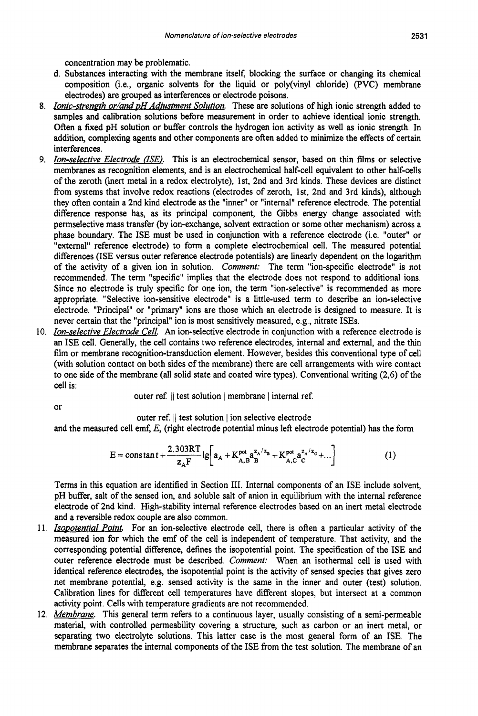concentration may be problematic.

- d. Substances interacting with the membrane itself, blocking the surface or changing its chemical composition (i.e., organic solvents for the liquid or poly(viny1 chloride) (PVC) membrane electrodes) are grouped as interferences or electrode poisons.
- 8. *Ionic-strength or/and pH Adjustment Solution*. These are solutions of high ionic strength added to samples and calibration solutions before measurement in order to achieve identical ionic strength, Often a fixed pH solution or buffer controls the hydrogen ion activity as well as ionic strength. In addition, complexing agents and other components are often added to minimize the effects of certain interferences.
- 9. *Ion-selective Electrode (ISE)*. This is an electrochemical sensor, based on thin films or selective membranes as recognition elements, and is an electrochemical half-cell equivalent to other half-cells of the zeroth (inert metal in a redox electrolyte), lst, 2nd and 3rd kinds. These devices are distinct from systems that involve redox reactions (electrodes of zeroth, Ist, 2nd and 3rd kinds), although they often contain a 2nd kind electrode as the "inner" or "internal" reference electrode. The potential difference response has, as its principal component, the Gibbs energy change associated with permselective mass transfer (by ion-exchange, solvent extraction or some other mechanism) across a phase boundary. The ISE must be used in conjunction with a reference electrode (i.e. "outer" or "external" reference electrode) to form a complete electrochemical cell. The measured potential differences (ISE versus outer reference electrode potentials) are linearly dependent on the logarithm of the activity of a given ion in solution. *Comment:* The term "ion-specific electrode" is not recommended. The term "specific" implies that the electrode does not respond to additional ions. Since no electrode is truly specific for one ion, the term "ion-selective" is recommended as more appropriate. "Selective ion-sensitive electrode" is a little-used term to describe an ion-selective electrode. "Principal" or "primary" ions are those which an electrode is designed to measure. It is never certain that the "principal" ion is most sensitively measured, e.g., nitrate ISEs.
- 10. *Ion-selective Electrode Cell. An* ion-selective electrode in conjunction with a reference electrode is an ISE cell. Generally, the cell contains two reference electrodes, internal and external, and the thin film or membrane recognition-transduction element. However, besides this conventional type of cell (with solution contact on both sides of the membrane) there are cell arrangements with wire contact to one side of the membrane (all solid state and coated wire types). Conventional writing (2,6) of the cell is:

outer ref. || test solution | membrane | internal ref.

or

#### outer ref. || test solution | ion selective electrode

and the measured cell emf, *E,* (right electrode potential minus left electrode potential) has the form

$$
E = \text{constant} + \frac{2.303RT}{z_AF} \lg \left[ a_A + K_{A,B}^{\text{pot}} a_B^{z_A/z_B} + K_{A,C}^{\text{pot}} a_C^{z_A/z_C} + ... \right]
$$
(1)

Terms in this equation are identified in Section 111. Internal components of an ISE include solvent, pH buffer, salt of the sensed ion, and soluble salt of anion in equilibrium with the internal reference electrode of 2nd kind. High-stability internal reference electrodes based on an inert metal electrode and a reversible redox couple are also common.

- 11. *Zsopotential Point.* For an ion-selective electrode cell, there is often a particular activity of the measured ion for which the emf of the cell is independent of temperature. That activity, and the corresponding potential difference, defines the isopotential point. The specification of the ISE and outer reference electrode must be described. *Comment:* When an isothermal cell is used with identical reference electrodes, the isopotential point is the activity of sensed species that gives zero net membrane potential, e.g. sensed activity is the same in the inner and outer (test) solution. Calibration lines for different cell temperatures have different slopes, but intersect at a common activity point. Cells with temperature gradients are not recommended.
- 12. *Membrane.* This general term refers to a continuous layer, usually consisting of a semi-permeable material, with controlled permeability covering a structure, such as carbon or an inert metal, or separating two electrolyte solutions. This latter case is the most general form of an ISE. The membrane separates the internal components of the ISE from the test solution. The membrane of an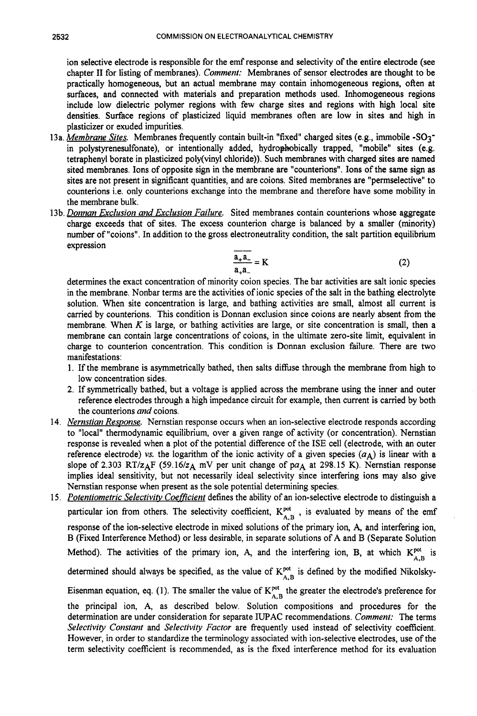ion selective electrode is responsible for the emfresponse and selectivity of the entire electrode (see chapter **I1** for listing of membranes). *Comment:* Membranes of sensor electrodes are thought to be practically homogeneous, but an actual membrane may contain inhomogeneous regions, often at surfaces, and connected with materials and preparation methods used. Inhomogeneous regions include low dielectric polymer regions with few charge sites and regions with high local site densities. Surface regions of plasticized liquid membranes often are low in sites and high in plasticizer or exuded impurities.

- 13a. *Membrane Sites.* Membranes frequently contain built-in "fixed" charged sites (e.g., immobile -SO3 in polystyrenesulfonate), or intentionally added, hydrophobically trapped, "mobile" sites (e.g. tetraphenyl borate in plasticized poly(viny1 chloride)). Such membranes with charged sites are named sited membranes. Ions of opposite sign in the membrane are "counterions". Ions of the same sign as sites are not present in significant quantities, and are coions. Sited membranes are "permselective" to counterions i.e. only counterions exchange into the membrane and therefore have some mobility in the membrane bulk.
- 13b. *Donnan Exclusion and Exclusion Failure.* Sited membranes contain counterions whose aggregate charge exceeds that of sites. The excess counterion charge is balanced by a smaller (minority) number of "coions". In addition to the gross electroneutrality condition, the salt partition equilibrium expression

$$
\frac{\overline{a_+ a_-}}{a_+ a_-} = K \tag{2}
$$

determines the exact concentration of minority coion species. The bar activities are salt ionic species in the membrane. Nonbar terms are the activities of ionic species of the salt in the bathing electrolyte solution. When site concentration is large, and bathing activities are small, almost all current is carried by counterions. This condition is Donnan exclusion since coions are nearly absent from the membrane. When *K* is large, or bathing activities are large, or site concentration is small, then a membrane can contain large concentrations of coions, in the ultimate zero-site limit, equivalent in charge to counterion concentration. This condition is Donnan exclusion failure. There are two manifestations:

- **1.** If the membrane is asymmetrically bathed, then salts diffise through the membrane from high to low concentration sides.
- **2.** If symmetrically bathed, but a voltage is applied across the membrane using the inner and outer reference electrodes through a high impedance circuit for example, then current is carried by both the counterions *and* coions.
- 14. *Nernstian Response.* Nernstian response occurs when an ion-selective electrode responds according to "local" thermodynamic equilibrium, over a given range of activity (or concentration). Nernstian response is revealed when a plot of the potential difference of the ISE cell (electrode, with an outer reference electrode) *vs.* the logarithm of the ionic activity of a given species  $(a<sub>A</sub>)$  is linear with a slope of 2.303 RT/z<sub>A</sub>F (59.16/z<sub>A</sub> mV per unit change of pa<sub>A</sub> at 298.15 K). Nernstian response implies ideal sensitivity, but not necessarily ideal selectivity since interfering ions may also give Nernstian response when present as the sole potential determining species.
- 15. *Potentiometric Selectivitv Coefficient* defines the ability of an ion-selective electrode to distinguish a particular ion from others. The selectivity coefficient,  $K_{A,B}^{pot}$ , is evaluated by means of the emf response of the ion-selective electrode in mixed solutions of the primary ion, **A,** and interfering ion, B (Fixed Interference Method) or less desirable, in separate solutions of A and B (Separate Solution Method). The activities of the primary ion, A, and the interfering ion, B, at which  $K_{A,B}^{pot}$  is determined should always be specified, as the value of  $K_{A,B}^{pot}$  is defined by the modified Nikolsky-Eisenman equation, eq. (1). The smaller the value of  $K_{A,B}^{pot}$  the greater the electrode's preference for the principal ion, A, as described below. Solution compositions and procedures for the determination are under consideration for separate IUPAC recommendations. *Comment:* The terms *Selectivity Constant* and *Selectivity Factor* are frequently used instead of selectivity coefficient. However, in order to standardize the terminology associated with ion-selective electrodes, use of the term selectivity coefficient is recommended, as is the fixed interference method for its evaluation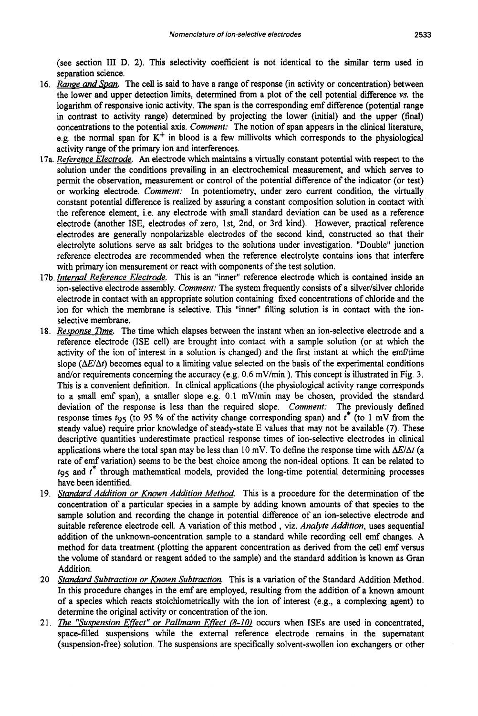(see section I11 D. 2). This selectivity coefficient is not identical to the similar term used in separation science.

- 16. *Ranpe and Svan.* The cell is said to have a range of response (in activity or concentration) between the lower and upper detection limits, determined from a plot of the cell potential difference *vs.* the logarithm of responsive ionic activity. The span is the corresponding emf difference (potential range in contrast to activity range) determined by projecting the lower (initial) and the upper (final) concentrations to the potential **axis.** *Comment:* The notion of span appears in the clinical literature, e.g. the normal span for  $K^+$  in blood is a few millivolts which corresponds to the physiological activity range of the primary ion and interferences.
- 17a. *Reference Electrode.* **An** electrode which maintains a virtually constant potential with respect to the solution under the conditions prevailing in an electrochemical measurement, and which serves to permit the observation, measurement or control of the potential difference of the indicator (or test) or working electrode. *Comment:* In potentiometry, under zero current condition, the virtually constant potential difference is realized by assuring a constant composition solution in contact with the reference element, i.e. any electrode with small standard deviation can be used as a reference electrode (another ISE, electrodes of zero, lst, 2nd, or 3rd kind). However, practical reference electrodes are generally nonpolarizable electrodes of the second kind, constructed **so** that their electrolyte solutions serve as salt bridges to the solutions under investigation. "Double" junction reference electrodes are recommended when the reference electrolyte contains ions that interfere with primary ion measurement or react with components of the test solution.
- 17b. *Internal Reference Electrode.* This is an "inner" reference electrode which is contained inside an ion-selective electrode assembly. *Comment:* The system frequently consists of a silver/silver chloride electrode in contact with an appropriate solution containing fixed concentrations of chloride and the ion for which the membrane is selective. This "inner" filling solution is in contact with the ionselective membrane.
- 18. *Response Time*. The time which elapses between the instant when an ion-selective electrode and a reference electrode (ISE cell) are brought into contact with a sample solution (or at which the activity of the ion of interest in a solution is changed) and the first instant at which the emf/time slope  $(\Delta E/\Delta t)$  becomes equal to a limiting value selected on the basis of the experimental conditions and/or requirements concerning the accuracy (e.g.  $0.6$  mV/min.). This concept is illustrated in Fig. 3. This is a convenient definition. In clinical applications (the physiological activity range corresponds to a small emf span), a smaller slope e.g. 0.1 mV/min may be chosen, provided the standard deviation of the response is less than the required slope. *Comment:* The previously defined response times  $t_{95}$  (to 95 % of the activity change corresponding span) and  $t^*$  (to 1 mV from the steady value) require prior knowledge of steady-state E values that may not be available (7). These descriptive quantities underestimate practical response times of ion-selective electrodes in clinical applications where the total span may be less than 10 mV. To define the response time with  $\Delta E/\Delta t$  (a rate of emfvariation) seems to be the best choice among the non-ideal options. It can be related to  $t<sub>95</sub>$  and  $t^*$  through mathematical models, provided the long-time potential determining processes have been identified.
- 19. *Standard Addition or Known Addition Method.* This is a procedure for the determination of the concentration of a particular species in a sample by adding known amounts of that species to the sample solution and recording the change in potential difference of an ion-selective electrode and suitable reference electrode cell. A variation of this method , viz. *AnaIyte Addition,* uses sequential addition of the unknown-concentration sample to a standard while recording cell emf changes. A method for data treatment (plotting the apparent concentration as derived from the cell emf versus the volume of standard or reagent added to the sample) and the standard addition is known as Gran Addition.
- 20 *Standard Subtraction or Known Subtraction.* This **is** a variation of the Standard Addition Method. In this procedure changes in the emf are employed, resulting from the addition of a known amount of a species which reacts stoichiometrically with the ion of interest (e.g., a complexing agent) to determine the original activity or concentration of the ion.
- 21. *The "Suspension Effect" or Pallmann Effect (8-10)* occurs when ISEs are used in concentrated, space-filled suspensions while the external reference electrode remains in the supernatant (suspension-free) solution. The suspensions are specifically solvent-swollen ion exchangers or other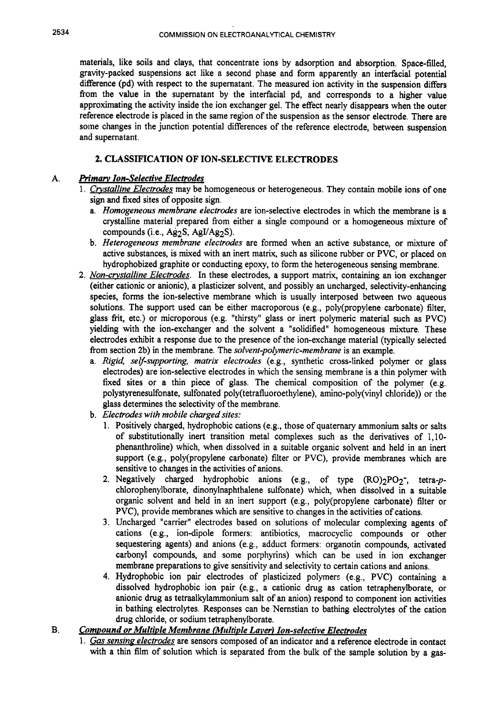materials, like soils and clays, that concentrate ions by adsorption and absorption. Space-filled, gravity-packed suspensions act like a second phase and form apparently an interfacial potential difference (pd) with respect to the supernatant. The measured ion activity in the suspension differs from the value in the supernatant by the interfacial pd, and corresponds to a higher value approximating the activity inside the ion exchanger gel. The effect nearly disappears when the outer reference electrode is placed in the same region of the suspension as the sensor electrode. There are some changes in the junction potential differences of the reference electrode, between suspension and supernatant.

### **2. CLASSIFICATION OF ION-SELECTIVE ELECTRODES**

#### A. *Aiman, Ion-Selective Electrodes*

- 1. *Ciystalline Electrodes* may be homogeneous or heterogeneous. They contain mobile ions of one sign and fixed sites of opposite sign.
	- a. *Homogeneous membrane electrodes* are ion-selective electrodes in which the membrane is a crystalline material prepared from either a single compound or a homogeneous mixture of compounds (i.e.,  $A\dot{g}_2S$ ,  $AgI/Ag_2S$ ).
	- b. *Heterogeneous membrane electrodes* are formed when an active substance, or mixture of active substances, is mixed with an inert matrix, such as silicone rubber or PVC, or placed on hydrophobized graphite or conducting epoxy, to form the heterogeneous sensing membrane.
- 2. *Non-crystalline Electrodes*. In these electrodes, a support matrix, containing an ion exchanger (either cationic or anionic), a plasticizer solvent, and possibly an uncharged, selectivity-enhancing species, forms the ion-selective membrane which is usually interposed between two aqueous solutions. The support used can be either macroporous (e.g., poly(propylene carbonate) filter, glass fit, etc.) or microporous (e.g. "thirsty" glass or inert polymeric material such as PVC) yielding with the ion-exchanger and the solvent a "solidified" homogeneous mixture. These electrodes exhibit a response due to the presence of the ion-exchange material (typically selected from section 2b) in the membrane. The *solvent-polymeric-membrane* is **an** example.
	- a. *Rigid self-supporting, matrix electrodes* (e.g., synthetic cross-linked polymer or glass electrodes) are ion-selective electrodes in which the sensing membrane is a thin polymer with fixed sites or a thin piece of glass. The chemical composition of the polymer (e.g. polystyrenesulfonate, sulfonated **poly(tetrafluoroethylene),** amino-poly(viny1 chloride)) or the glass determines the selectivity of the membrane.
	- b. *Electrodes with mobile charged sites:* 
		- 1. Positively charged, hydrophobic cations (e.g., those of quaternary ammonium salts or salts of substitutionally inert transition metal complexes such as the derivatives of 1,lOphenanthroline) which, when dissolved in a suitable organic solvent and held in an inert support (e.g., poly(propylene carbonate) filter or PVC), provide membranes which are sensitive to changes in the activities of anions.
		- 2. Negatively charged hydrophobic anions (e.g., of type  $(RO)2PO_2^-$ , tetra-pchlorophenylborate, dinonylnaphthalene sulfonate) which, when dissolved in a suitable organic solvent and held in an inert support (e.g., poly(propylene carbonate) filter or PVC), provide membranes which are sensitive to changes in the activities of cations.
		- 3. Uncharged "camer" electrodes based on solutions of molecular complexing agents of cations (e.g., ion-dipole formers: antibiotics, macrocyclic compounds or other sequestering agents) and anions (e.g., adduct formers: organotin compounds, activated carbonyl compounds, and some porphyrins) which can be used in ion exchanger membrane preparations to give sensitivity and selectivity to certain cations and anions.
		- **4.** Hydrophobic ion pair electrodes of plasticized polymers (e.g., PVC) containing a dissolved hydrophobic ion pair (e.g., **n** cationic drug as cation tetraphenylborate, or anionic drug as tetraalkylammonium salt of an anion) respond to component ion activities in bathing electrolytes. Responses can be Nernstian to bathing electrolytes of the cation drug chloride, or sodium tetraphenylborate.

#### **B.** *Compound or Multiple Membrane (Multiple Laver) Ion-selective Electrodes*

**1.** *Gas sensing electrodes* are sensors composed of an indicator and a reference electrode in contact with a thin film of solution which is separated from the bulk of the sample solution by a gas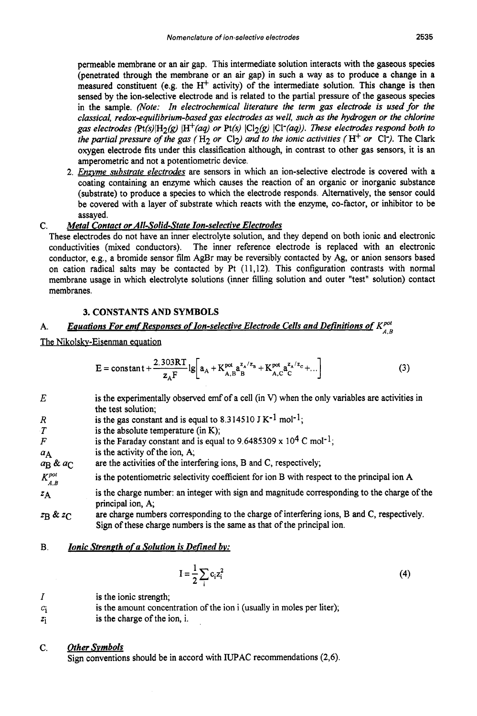permeable membrane or an air gap. This intermediate solution interacts with the gaseous species (penetrated through the membrane or an air gap) in such a way as to produce a change in a measured constituent (e.g. the H<sup>+</sup> activity) of the intermediate solution. This change is then sensed by the ion-selective electrode and is related to the partial pressure of the gaseous species in the sample. *(Note: In electrochemical literature the term gas electrode is used for the classical, redox-equilibrium-based gas electrodes as well, such* **as** *the hy&ogen or the chlorine*  gas electrodes  $(Pt(s)|H_2(g)|H^+(aq)$  or  $Pt(s)|C_2(g)|C_1^-(aq))$ . *These electrodes respond both to the partial pressure of the gas* ( $H_2$  *or*  $Cl_2$ *) and to the ionic activities* ( $H^+$  *or*  $Cl^-$ *)*. The Clark oxygen electrode fits under this classification although, in contrast to other gas sensors, it is an amperometric and not a potentiometric device.

2. *Enzyme substrate electrodes* are sensors in which an ion-selective electrode is covered with a coating containing an enzyme which causes the reaction of an organic or inorganic substance (substrate) to produce a species to which the electrode responds. Alternatively, the sensor could be covered with a layer of substrate which reacts with the enzyme, co-factor, or inhibitor to be assayed.

## C. Metal Contact or All-Solid-State Ion-selective Electrodes

These electrodes do not have an inner electrolyte solution, and they depend on both ionic and electronic conductivities (mixed conductors). The inner reference electrode is replaced with an electronic conductor, e.g., a bromide sensor film AgBr may be reversibly contacted by Ag, or anion sensors based on cation radical salts may be contacted by Pt (11,12). This configuration contrasts with normal membrane usage in which electrolyte solutions (inner filling solution and outer "test" solution) contact membranes.

#### **3. CONSTANTS AND SYMBOLS**

#### **A.**  *Equations For emf Responses of Ion-selective Electrode Cells and Definitions of*  $K_{A,B}^{pot}$

The Nikolsky-Eisenman equation

$$
E = \text{constant} + \frac{2.303RT}{z_A F} \lg \left[ a_A + K_{A,B}^{\text{pot}} a_B^{z_A/z_B} + K_{A,C}^{\text{pot}} a_C^{z_A/z_C} + \dots \right]
$$
(3)

- *E*  is the experimentally observed emf of a cell (in V) when the only variables are activities in the test solution;
- *R*  is the gas constant and is equal to 8.314510 J K<sup>-1</sup> mol<sup>-1</sup>;
- *T*  is the absolute temperature (in K);

*F*  is the Faraday constant and is equal to  $9.6485309 \times 10^4$  C mol<sup>-1</sup>;

*aA*  is the activity of the ion, **A;** 

ag & *ac*  are the activities of the interfering ions, B and C, respectively;

- is the potentiometric selectivity coefficient for ion B with respect to the principal ion **A**   $K_{A,B}^{pot}$
- is the charge number: an integer with sign and magnitude corresponding to the charge of the principal ion, *A,*  ZA

are charge numbers corresponding to the charge of interfering ions, B and C, respectively. Sign of these charge numbers is the same as that of the principal ion. *ZB* & zc

#### **B.** *Ionic Strenpth of a Solution is Defined bv:*

$$
I = \frac{1}{2} \sum_{i} c_i z_i^2 \tag{4}
$$

*I* is the ionic strength;

- $c_i$ is the amount concentration of the ion i (usually in moles per liter);
- zi is the charge of the ion, i.

#### C. *Other Svmbols*

Sign conventions should be in accord with IWAC recommendations (2,6).